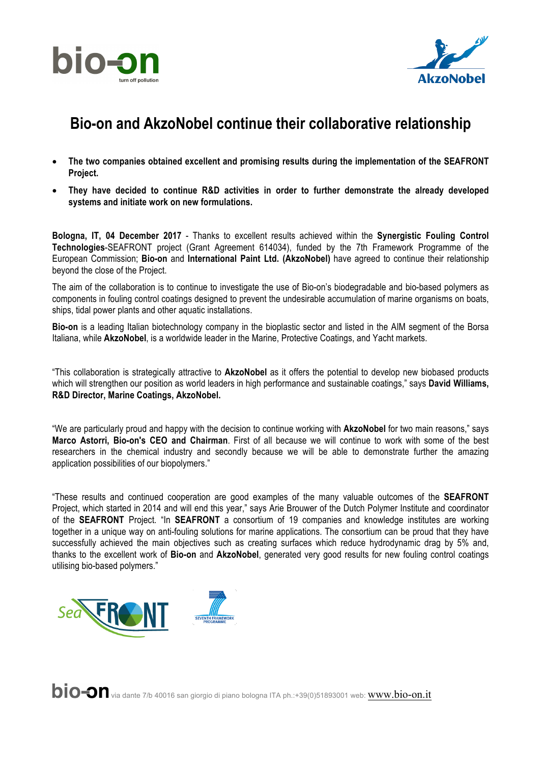



## **Bio-on and AkzoNobel continue their collaborative relationship**

- **The two companies obtained excellent and promising results during the implementation of the SEAFRONT Project.**
- **They have decided to continue R&D activities in order to further demonstrate the already developed systems and initiate work on new formulations.**

**Bologna, IT, 04 December 2017** - Thanks to excellent results achieved within the **Synergistic Fouling Control Technologies**-SEAFRONT project (Grant Agreement 614034), funded by the 7th Framework Programme of the European Commission; **Bio-on** and **International Paint Ltd. (AkzoNobel)** have agreed to continue their relationship beyond the close of the Project.

The aim of the collaboration is to continue to investigate the use of Bio-on's biodegradable and bio-based polymers as components in fouling control coatings designed to prevent the undesirable accumulation of marine organisms on boats, ships, tidal power plants and other aquatic installations.

**Bio-on** is a leading Italian biotechnology company in the bioplastic sector and listed in the AIM segment of the Borsa Italiana, while **AkzoNobel**, is a worldwide leader in the Marine, Protective Coatings, and Yacht markets.

"This collaboration is strategically attractive to **AkzoNobel** as it offers the potential to develop new biobased products which will strengthen our position as world leaders in high performance and sustainable coatings," says **David Williams, R&D Director, Marine Coatings, AkzoNobel.**

"We are particularly proud and happy with the decision to continue working with **AkzoNobel** for two main reasons," says **Marco Astorri, Bio-on's CEO and Chairman**. First of all because we will continue to work with some of the best researchers in the chemical industry and secondly because we will be able to demonstrate further the amazing application possibilities of our biopolymers."

"These results and continued cooperation are good examples of the many valuable outcomes of the **SEAFRONT** Project, which started in 2014 and will end this year," says Arie Brouwer of the Dutch Polymer Institute and coordinator of the **SEAFRONT** Project. "In **SEAFRONT** a consortium of 19 companies and knowledge institutes are working together in a unique way on anti-fouling solutions for marine applications. The consortium can be proud that they have successfully achieved the main objectives such as creating surfaces which reduce hydrodynamic drag by 5% and, thanks to the excellent work of **Bio-on** and **AkzoNobel**, generated very good results for new fouling control coatings utilising bio-based polymers."